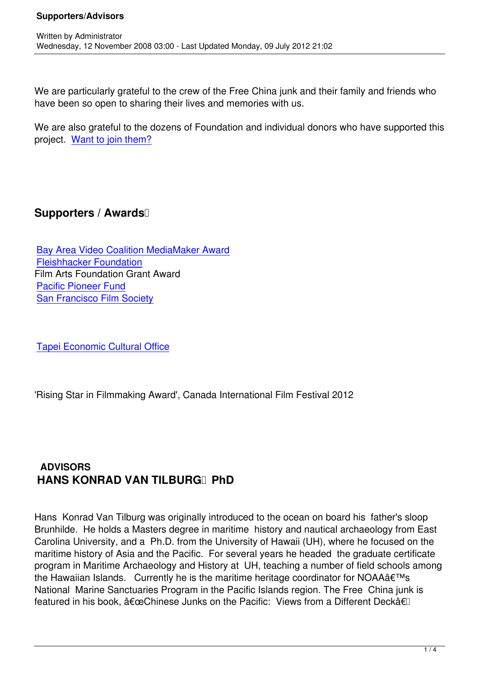We are particularly grateful to the crew of the Free China junk and their family and friends who have been so open to sharing their lives and memories with us.

We are also grateful to the dozens of Foundation and individual donors who have supported this project. Want to join them?

## **Supporters / Awards**

Written by Administrator and Administrator and Administrator and Administrator and Administrator and Administrator and Administrator and Administrator and Administrator and Administrator and Administrator and Administrator

Bay Area Video Coalition MediaMaker Award Fleishhacker Foundation Film Arts Foundation Grant Award [Pacific Pioneer Fund](http://www.bavc.org/index.php?Itemid=714&id=553&option=com_content&task=view) [San Francisco Film Socie](http://www.fleishhackerfoundation.org/)ty

[Tapei Economic Cultural Of](http://www.sffs.org)fice

'[Rising Star in Filmmaking Awar](http://www.taiwanembassy.org/US/SFO/mp.asp?mp=67)d', Canada International Film Festival 2012

## **ADVISORS HANS KONRAD VAN TILBURG PhD**

Hans Konrad Van Tilburg was originally introduced to the ocean on board his father's sloop Brunhilde. He holds a Masters degree in maritime history and nautical archaeology from East Carolina University, and a Ph.D. from the University of Hawaii (UH), where he focused on the maritime history of Asia and the Pacific. For several years he headed the graduate certificate program in Maritime Archaeology and History at UH, teaching a number of field schools among the Hawaiian Islands. Currently he is the maritime heritage coordinator for NOAA $\hat{a} \in \mathbb{M}$ s National Marine Sanctuaries Program in the Pacific Islands region. The Free China junk is featured in his book,  $"Chinese$  Junks on the Pacific: Views from a Different Deckâ€l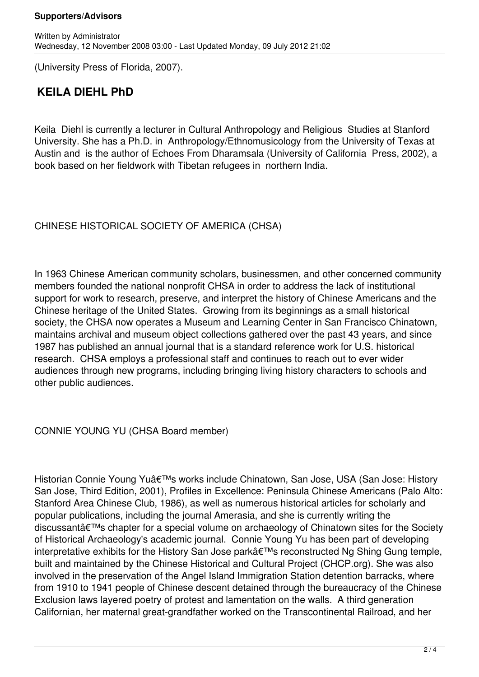(University Press of Florida, 2007).

## **KEILA DIEHL PhD**

Keila Diehl is currently a lecturer in Cultural Anthropology and Religious Studies at Stanford University. She has a Ph.D. in Anthropology/Ethnomusicology from the University of Texas at Austin and is the author of Echoes From Dharamsala (University of California Press, 2002), a book based on her fieldwork with Tibetan refugees in northern India.

CHINESE HISTORICAL SOCIETY OF AMERICA (CHSA)

In 1963 Chinese American community scholars, businessmen, and other concerned community members founded the national nonprofit CHSA in order to address the lack of institutional support for work to research, preserve, and interpret the history of Chinese Americans and the Chinese heritage of the United States. Growing from its beginnings as a small historical society, the CHSA now operates a Museum and Learning Center in San Francisco Chinatown, maintains archival and museum object collections gathered over the past 43 years, and since 1987 has published an annual journal that is a standard reference work for U.S. historical research. CHSA employs a professional staff and continues to reach out to ever wider audiences through new programs, including bringing living history characters to schools and other public audiences.

CONNIE YOUNG YU (CHSA Board member)

Historian Connie Young Yu's works include Chinatown, San Jose, USA (San Jose: History San Jose, Third Edition, 2001), Profiles in Excellence: Peninsula Chinese Americans (Palo Alto: Stanford Area Chinese Club, 1986), as well as numerous historical articles for scholarly and popular publications, including the journal Amerasia, and she is currently writing the discussant's chapter for a special volume on archaeology of Chinatown sites for the Society of Historical Archaeology's academic journal. Connie Young Yu has been part of developing interpretative exhibits for the History San Jose park's reconstructed Ng Shing Gung temple, built and maintained by the Chinese Historical and Cultural Project (CHCP.org). She was also involved in the preservation of the Angel Island Immigration Station detention barracks, where from 1910 to 1941 people of Chinese descent detained through the bureaucracy of the Chinese Exclusion laws layered poetry of protest and lamentation on the walls. A third generation Californian, her maternal great-grandfather worked on the Transcontinental Railroad, and her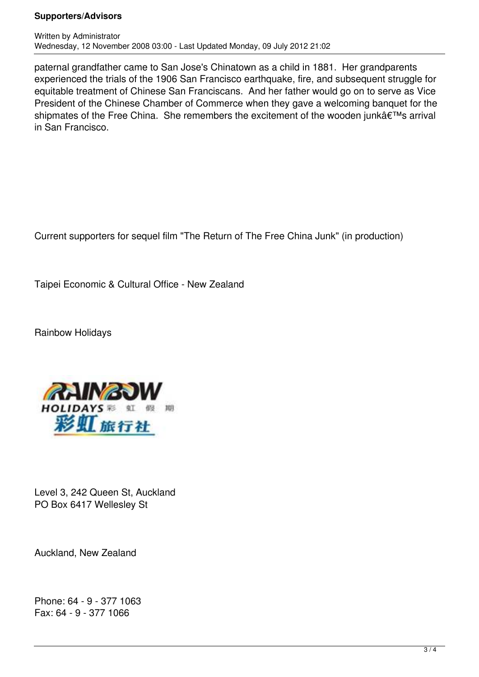## **Supporters/Advisors**

paternal grandfather came to San Jose's Chinatown as a child in 1881. Her grandparents experienced the trials of the 1906 San Francisco earthquake, fire, and subsequent struggle for equitable treatment of Chinese San Franciscans. And her father would go on to serve as Vice President of the Chinese Chamber of Commerce when they gave a welcoming banquet for the shipmates of the Free China. She remembers the excitement of the wooden junk's arrival in San Francisco.

Current supporters for sequel film "The Return of The Free China Junk" (in production)

Taipei Economic & Cultural Office - New Zealand

Rainbow Holidays



Level 3, 242 Queen St, Auckland PO Box 6417 Wellesley St

Auckland, New Zealand

Phone: 64 - 9 - 377 1063 Fax: 64 - 9 - 377 1066